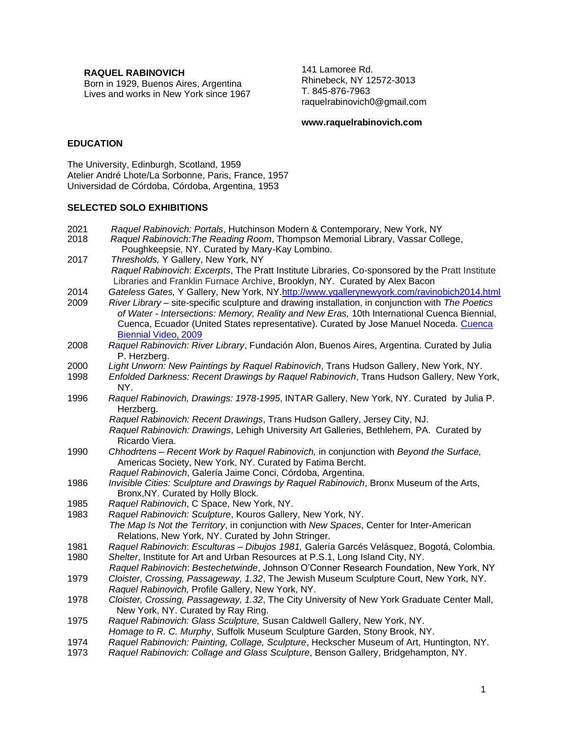**RAQUEL RABINOVICH**

Born in 1929, Buenos Aires, Argentina Lives and works in New York since 1967 141 Lamoree Rd. Rhinebeck, NY 12572-3013 T. 845-876-7963 raquelrabinovich0@gmail.com

### **www.raquelrabinovich.com**

# **EDUCATION**

The University, Edinburgh, Scotland, 1959 Atelier André Lhote/La Sorbonne, Paris, France, 1957 Universidad de Córdoba, Córdoba, Argentina, 1953

### **SELECTED SOLO EXHIBITIONS**

| 2021 | Raquel Rabinovich: Portals, Hutchinson Modern & Contemporary, New York, NY                                |
|------|-----------------------------------------------------------------------------------------------------------|
| 2018 | Raquel Rabinovich: The Reading Room, Thompson Memorial Library, Vassar College,                           |
|      | Poughkeepsie, NY. Curated by Mary-Kay Lombino.                                                            |
| 2017 | Thresholds, Y Gallery, New York, NY                                                                       |
|      | Raquel Rabinovich: Excerpts, The Pratt Institute Libraries, Co-sponsored by the Pratt Institute           |
|      | Libraries and Franklin Furnace Archive, Brooklyn, NY. Curated by Alex Bacon                               |
| 2014 | Gateless Gates, Y Gallery, New York, NY.http://www.ygallerynewyork.com/ravinobich2014.html                |
| 2009 | River Library – site-specific sculpture and drawing installation, in conjunction with The Poetics         |
|      | of Water - Intersections: Memory, Reality and New Eras, 10th International Cuenca Biennial,               |
|      | Cuenca, Ecuador (United States representative). Curated by Jose Manuel Noceda. Cuenca                     |
|      | Biennial Video, 2009                                                                                      |
| 2008 | Raquel Rabinovich: River Library, Fundación Alon, Buenos Aires, Argentina. Curated by Julia               |
|      | P. Herzberg.                                                                                              |
| 2000 | Light Unworn: New Paintings by Raquel Rabinovich, Trans Hudson Gallery, New York, NY.                     |
| 1998 | Enfolded Darkness: Recent Drawings by Raquel Rabinovich, Trans Hudson Gallery, New York,                  |
|      | NY.                                                                                                       |
| 1996 | Raquel Rabinovich, Drawings: 1978-1995, INTAR Gallery, New York, NY. Curated by Julia P.<br>Herzberg.     |
|      | Raquel Rabinovich: Recent Drawings, Trans Hudson Gallery, Jersey City, NJ.                                |
|      | Raquel Rabinovich: Drawings, Lehigh University Art Galleries, Bethlehem, PA. Curated by<br>Ricardo Viera. |
| 1990 | Chhodrtens - Recent Work by Raquel Rabinovich, in conjunction with Beyond the Surface,                    |
|      | Americas Society, New York, NY. Curated by Fatima Bercht.                                                 |
|      | Raquel Rabinovich, Galería Jaime Conci, Córdoba, Argentina.                                               |
| 1986 | Invisible Cities: Sculpture and Drawings by Raquel Rabinovich, Bronx Museum of the Arts,                  |
|      | Bronx, NY. Curated by Holly Block.                                                                        |
| 1985 | Raquel Rabinovich, C Space, New York, NY.                                                                 |
| 1983 | Raquel Rabinovich: Sculpture, Kouros Gallery, New York, NY.                                               |
|      | The Map Is Not the Territory, in conjunction with New Spaces, Center for Inter-American                   |
|      | Relations, New York, NY. Curated by John Stringer.                                                        |
| 1981 | Raquel Rabinovich: Esculturas - Dibujos 1981, Galería Garcés Velásquez, Bogotá, Colombia.                 |
| 1980 | Shelter, Institute for Art and Urban Resources at P.S.1, Long Island City, NY.                            |
|      | Raquel Rabinovich: Bestechetwinde, Johnson O'Conner Research Foundation, New York, NY                     |
| 1979 | Cloister, Crossing, Passageway, 1.32, The Jewish Museum Sculpture Court, New York, NY.                    |
|      | Raquel Rabinovich, Profile Gallery, New York, NY.                                                         |
| 1978 | Cloister, Crossing, Passageway, 1.32, The City University of New York Graduate Center Mall,               |
|      | New York, NY. Curated by Ray Ring.<br>$\cdots$ $\cdots$ $\cdots$ $\cdots$                                 |
|      |                                                                                                           |

- 1975 *Raquel Rabinovich: Glass Sculpture,* Susan Caldwell Gallery, New York, NY.
- *Homage to R. C. Murphy*, Suffolk Museum Sculpture Garden, Stony Brook, NY.
- 1974 *Raquel Rabinovich: Painting, Collage, Sculpture*, Heckscher Museum of Art, Huntington, NY.
- 1973 *Raquel Rabinovich: Collage and Glass Sculpture*, Benson Gallery, Bridgehampton, NY.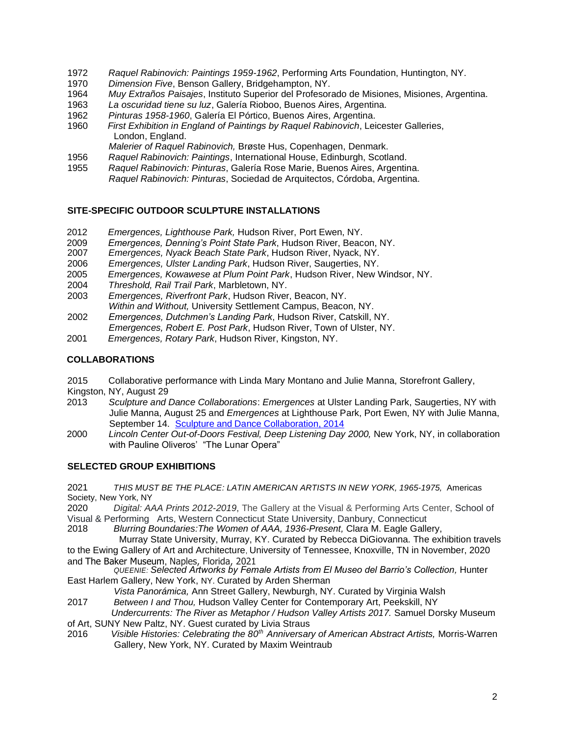- 1972 *Raquel Rabinovich: Paintings 1959-1962*, Performing Arts Foundation, Huntington, NY.
- 1970 *Dimension Five*, Benson Gallery, Bridgehampton, NY.
- 1964 *Muy Extraños Paisajes*, Instituto Superior del Profesorado de Misiones, Misiones, Argentina.
- 1963 *La oscuridad tiene su luz*, Galería Rioboo, Buenos Aires, Argentina.
- 1962 *Pinturas 1958-1960*, Galería El Pórtico, Buenos Aires, Argentina.
- First Exhibition in England of Paintings by Raquel Rabinovich, Leicester Galleries, London, England.
	- *Malerier of Raquel Rabinovich,* Brøste Hus, Copenhagen, Denmark.
- 1956 *Raquel Rabinovich: Paintings*, International House, Edinburgh, Scotland.
- 1955 *Raquel Rabinovich: Pinturas*, Galería Rose Marie, Buenos Aires, Argentina. *Raquel Rabinovich: Pinturas*, Sociedad de Arquitectos, Córdoba, Argentina.

# **SITE-SPECIFIC OUTDOOR SCULPTURE INSTALLATIONS**

- 2012 *Emergences, Lighthouse Park,* Hudson River, Port Ewen, NY.
- 2009 *Emergences, Denning's Point State Park*, Hudson River, Beacon, NY.
- 2007 *Emergences, Nyack Beach State Park*, Hudson River, Nyack, NY.
- 2006 *Emergences, Ulster Landing Park*, Hudson River, Saugerties, NY.
- 2005 *Emergences, Kowawese at Plum Point Park*, Hudson River, New Windsor, NY.
- 2004 *Threshold, Rail Trail Park*, Marbletown, NY.
- 2003 *Emergences, Riverfront Park*, Hudson River, Beacon, NY. *Within and Without,* University Settlement Campus, Beacon, NY.
- 2002 *Emergences, Dutchmen's Landing Park*, Hudson River, Catskill, NY. *Emergences, Robert E. Post Park*, Hudson River, Town of Ulster, NY.
- 2001 *Emergences, Rotary Park*, Hudson River, Kingston, NY.

# **COLLABORATIONS**

2015 Collaborative performance with Linda Mary Montano and Julie Manna, Storefront Gallery, Kingston, NY, August 29

- 2013 *Sculpture and Dance Collaborations*: *Emergences* at Ulster Landing Park, Saugerties, NY with Julie Manna, August 25 and *Emergences* at Lighthouse Park, Port Ewen, NY with Julie Manna, September 14. Sculpture and Dance Collaboration, 2014
- 2000 *Lincoln Center Out-of-Doors Festival, Deep Listening Day 2000,* New York, NY, in collaboration with Pauline Oliveros' "The Lunar Opera"

# **SELECTED GROUP EXHIBITIONS**

2021 *THIS MUST BE THE PLACE: LATIN AMERICAN ARTISTS IN NEW YORK, 1965-1975,* Americas Society, New York, NY

2020 *Digital: AAA Prints 2012-2019*, The Gallery at the Visual & Performing Arts Center, School of Visual & Performing Arts, Western Connecticut State University, Danbury, Connecticut 2018 Blurring Boundaries: The Women of AAA, 1936-Present, Clara M. Eagle Galle

2018 *Blurring Boundaries:The Women of AAA, 1936-Present,* Clara M. Eagle Gallery,

Murray State University, Murray, KY. Curated by Rebecca DiGiovanna. The exhibition travels to the Ewing Gallery of Art and Architecture, University of Tennessee, Knoxville, TN in November, 2020 and The Baker Museum, Naples, Florida, 2021

*QUEENIE: Selected Artworks by Female Artists from El Museo del Barrio's Collection,* Hunter East Harlem Gallery, New York, NY. Curated by Arden Sherman

*Vista Panorámica,* Ann Street Gallery, Newburgh, NY. Curated by Virginia Walsh 2017 *Between I and Thou,* Hudson Valley Center for Contemporary Art, Peekskill, NY

- *Undercurrents: The River as Metaphor / Hudson Valley Artists 2017.* Samuel Dorsky Museum
- of Art, SUNY New Paltz, NY. Guest curated by Livia Straus<br>2016 Visible Histories: Celebrating the 80<sup>th</sup> Anniversar
- 2016 *Visible Histories: Celebrating the 80th Anniversary of American Abstract Artists,* Morris-Warren Gallery, New York, NY. Curated by Maxim Weintraub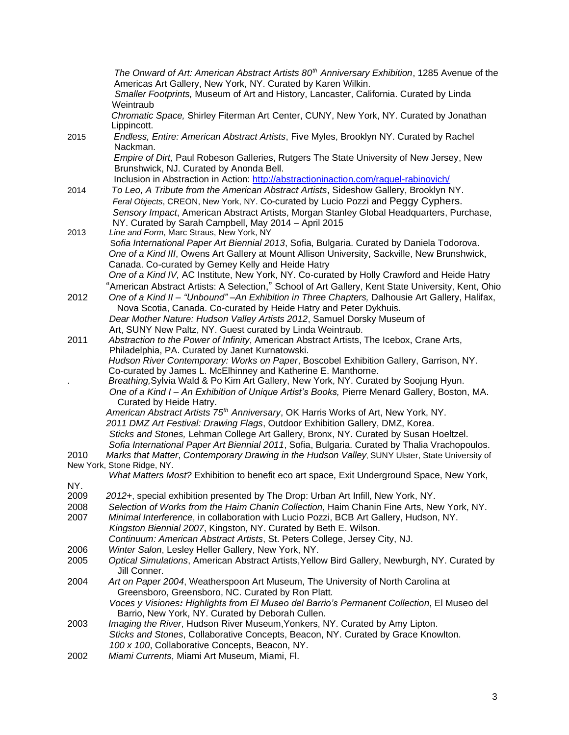*The Onward of Art: American Abstract Artists 80th Anniversary Exhibition*, 1285 Avenue of the Americas Art Gallery, New York, NY. Curated by Karen Wilkin. *Smaller Footprints,* Museum of Art and History, Lancaster, California. Curated by Linda **Weintraub** *Chromatic Space,* Shirley Fiterman Art Center, CUNY, New York, NY. Curated by Jonathan Lippincott. 2015 *Endless, Entire: American Abstract Artists*, Five Myles, Brooklyn NY. Curated by Rachel Nackman. *Empire of Dirt,* Paul Robeson Galleries, Rutgers The State University of New Jersey, New Brunshwick, NJ. Curated by Anonda Bell. Inclusion in Abstraction in Action:<http://abstractioninaction.com/raquel-rabinovich/> 2014 *To Leo, A Tribute from the American Abstract Artists*, Sideshow Gallery, Brooklyn NY. *Feral Objects*, CREON, New York, NY. Co-curated by Lucio Pozzi and Peggy Cyphers. *Sensory Impact*, American Abstract Artists, Morgan Stanley Global Headquarters, Purchase, NY. Curated by Sarah Campbell, May 2014 – April 2015 2013 *Line and Form*, Marc Straus, New York, NY S*ofia International Paper Art Biennial 2013*, Sofia, Bulgaria. Curated by Daniela Todorova. *One of a Kind III*, Owens Art Gallery at Mount Allison University, Sackville, New Brunshwick, Canada. Co-curated by Gemey Kelly and Heide Hatry *One of a Kind IV,* AC Institute, New York, NY. Co-curated by Holly Crawford and Heide Hatry "American Abstract Artists: A Selection," School of Art Gallery, Kent State University, Kent, Ohio 2012 *One of a Kind II – "Unbound" –An Exhibition in Three Chapters,* Dalhousie Art Gallery, Halifax, Nova Scotia, Canada. Co-curated by Heide Hatry and Peter Dykhuis. *Dear Mother Nature: Hudson Valley Artists 2012*, Samuel Dorsky Museum of Art, SUNY New Paltz, NY. Guest curated by Linda Weintraub. 2011 *Abstraction to the Power of Infinity*, American Abstract Artists, The Icebox, Crane Arts, Philadelphia, PA. Curated by Janet Kurnatowski. *Hudson River Contemporary: Works on Paper*, Boscobel Exhibition Gallery, Garrison, NY. Co-curated by James L. McElhinney and Katherine E. Manthorne. . *Breathing,*Sylvia Wald & Po Kim Art Gallery, New York, NY. Curated by Soojung Hyun. *One of a Kind I – An Exhibition of Unique Artist's Books,* Pierre Menard Gallery, Boston, MA. Curated by Heide Hatry. *American Abstract Artists 75th Anniversary*, OK Harris Works of Art, New York, NY. *2011 DMZ Art Festival: Drawing Flags*, Outdoor Exhibition Gallery, DMZ, Korea. *Sticks and Stones,* Lehman College Art Gallery, Bronx, NY. Curated by Susan Hoeltzel. *Sofia International Paper Art Biennial 2011*, Sofia, Bulgaria. Curated by Thalia Vrachopoulos. 2010 *Marks that Matter*, *Contemporary Drawing in the Hudson Valley*, SUNY Ulster, State University of New York, Stone Ridge, NY. *What Matters Most?* Exhibition to benefit eco art space, Exit Underground Space, New York, NY.<br>2009 2009 *2012+*, special exhibition presented by The Drop: Urban Art Infill, New York, NY. 2008 *Selection of Works from the Haim Chanin Collection*, Haim Chanin Fine Arts, New York, NY. 2007 *Minimal Interference*, in collaboration with Lucio Pozzi, BCB Art Gallery, Hudson, NY. *Kingston Biennial 2007*, Kingston, NY. Curated by Beth E. Wilson. *Continuum: American Abstract Artists*, St. Peters College, Jersey City, NJ. 2006 *Winter Salon*, Lesley Heller Gallery, New York, NY. 2005 *Optical Simulations*, American Abstract Artists,Yellow Bird Gallery, Newburgh, NY. Curated by Jill Conner. 2004 *Art on Paper 2004*, Weatherspoon Art Museum, The University of North Carolina at Greensboro, Greensboro, NC. Curated by Ron Platt. *Voces y Visiones: Highlights from El Museo del Barrio's Permanent Collection*, El Museo del Barrio, New York, NY. Curated by Deborah Cullen. 2003 *Imaging the River*, Hudson River Museum,Yonkers, NY. Curated by Amy Lipton. *Sticks and Stones*, Collaborative Concepts, Beacon, NY. Curated by Grace Knowlton. *100 x 100*, Collaborative Concepts, Beacon, NY. 2002 *Miami Currents*, Miami Art Museum, Miami, Fl.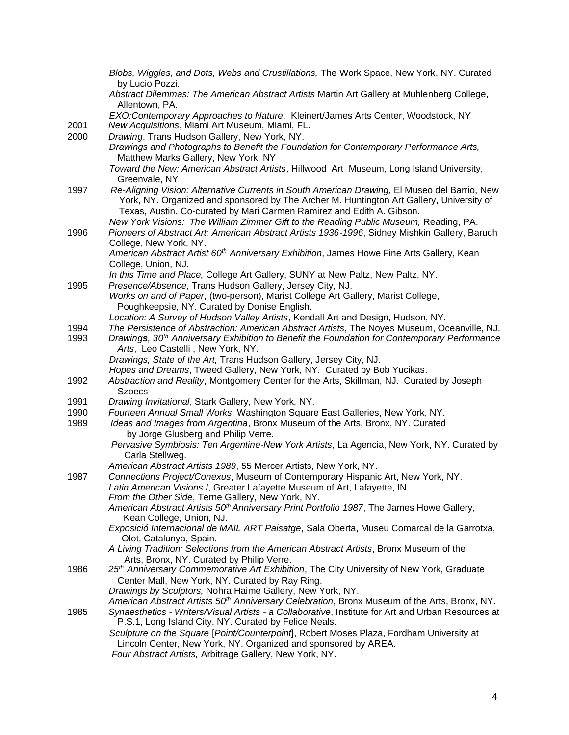|              | Blobs, Wiggles, and Dots, Webs and Crustillations, The Work Space, New York, NY. Curated<br>by Lucio Pozzi.                                                                                                                                                                                                                                               |
|--------------|-----------------------------------------------------------------------------------------------------------------------------------------------------------------------------------------------------------------------------------------------------------------------------------------------------------------------------------------------------------|
|              | Abstract Dilemmas: The American Abstract Artists Martin Art Gallery at Muhlenberg College,<br>Allentown, PA.                                                                                                                                                                                                                                              |
|              | EXO:Contemporary Approaches to Nature, Kleinert/James Arts Center, Woodstock, NY                                                                                                                                                                                                                                                                          |
| 2001<br>2000 | New Acquisitions, Miami Art Museum, Miami, FL.                                                                                                                                                                                                                                                                                                            |
|              | Drawing, Trans Hudson Gallery, New York, NY.<br>Drawings and Photographs to Benefit the Foundation for Contemporary Performance Arts,<br>Matthew Marks Gallery, New York, NY                                                                                                                                                                              |
|              | Toward the New: American Abstract Artists, Hillwood Art Museum, Long Island University,<br>Greenvale, NY                                                                                                                                                                                                                                                  |
| 1997         | Re-Aligning Vision: Alternative Currents in South American Drawing, El Museo del Barrio, New<br>York, NY. Organized and sponsored by The Archer M. Huntington Art Gallery, University of<br>Texas, Austin. Co-curated by Mari Carmen Ramirez and Edith A. Gibson.<br>New York Visions: The William Zimmer Gift to the Reading Public Museum, Reading, PA. |
| 1996         | Pioneers of Abstract Art: American Abstract Artists 1936-1996, Sidney Mishkin Gallery, Baruch<br>College, New York, NY.                                                                                                                                                                                                                                   |
|              | American Abstract Artist 60 <sup>th</sup> Anniversary Exhibition, James Howe Fine Arts Gallery, Kean<br>College, Union, NJ.                                                                                                                                                                                                                               |
| 1995         | In this Time and Place, College Art Gallery, SUNY at New Paltz, New Paltz, NY.<br>Presence/Absence, Trans Hudson Gallery, Jersey City, NJ.                                                                                                                                                                                                                |
|              | Works on and of Paper, (two-person), Marist College Art Gallery, Marist College,<br>Poughkeepsie, NY. Curated by Donise English.                                                                                                                                                                                                                          |
|              | Location: A Survey of Hudson Valley Artists, Kendall Art and Design, Hudson, NY.                                                                                                                                                                                                                                                                          |
| 1994<br>1993 | The Persistence of Abstraction: American Abstract Artists, The Noyes Museum, Oceanville, NJ.<br>Drawings, 30 <sup>th</sup> Anniversary Exhibition to Benefit the Foundation for Contemporary Performance<br>Arts, Leo Castelli, New York, NY.                                                                                                             |
|              | Drawings, State of the Art, Trans Hudson Gallery, Jersey City, NJ.<br>Hopes and Dreams, Tweed Gallery, New York, NY. Curated by Bob Yucikas.                                                                                                                                                                                                              |
| 1992         | Abstraction and Reality, Montgomery Center for the Arts, Skillman, NJ. Curated by Joseph<br><b>Szoecs</b>                                                                                                                                                                                                                                                 |
| 1991         | Drawing Invitational, Stark Gallery, New York, NY.                                                                                                                                                                                                                                                                                                        |
| 1990         | Fourteen Annual Small Works, Washington Square East Galleries, New York, NY.                                                                                                                                                                                                                                                                              |
| 1989         | Ideas and Images from Argentina, Bronx Museum of the Arts, Bronx, NY. Curated<br>by Jorge Glusberg and Philip Verre.                                                                                                                                                                                                                                      |
|              | Pervasive Symbiosis: Ten Argentine-New York Artists, La Agencia, New York, NY. Curated by<br>Carla Stellweg.                                                                                                                                                                                                                                              |
| 1987         | American Abstract Artists 1989, 55 Mercer Artists, New York, NY.<br>Connections Project/Conexus, Museum of Contemporary Hispanic Art, New York, NY.                                                                                                                                                                                                       |
|              | Latin American Visions I, Greater Lafayette Museum of Art, Lafayette, IN.<br>From the Other Side, Terne Gallery, New York, NY.                                                                                                                                                                                                                            |
|              | American Abstract Artists 50 <sup>th</sup> Anniversary Print Portfolio 1987, The James Howe Gallery,<br>Kean College, Union, NJ.                                                                                                                                                                                                                          |
|              | Exposició Internacional de MAIL ART Paisatge, Sala Oberta, Museu Comarcal de la Garrotxa,<br>Olot, Catalunya, Spain.                                                                                                                                                                                                                                      |
|              | A Living Tradition: Selections from the American Abstract Artists, Bronx Museum of the<br>Arts, Bronx, NY. Curated by Philip Verre.                                                                                                                                                                                                                       |
| 1986         | 25 <sup>th</sup> Anniversary Commemorative Art Exhibition, The City University of New York, Graduate<br>Center Mall, New York, NY. Curated by Ray Ring.<br>Drawings by Sculptors, Nohra Haime Gallery, New York, NY.                                                                                                                                      |
|              | American Abstract Artists 50 <sup>th</sup> Anniversary Celebration, Bronx Museum of the Arts, Bronx, NY.                                                                                                                                                                                                                                                  |
| 1985         | Synaesthetics - Writers/Visual Artists - a Collaborative, Institute for Art and Urban Resources at<br>P.S.1, Long Island City, NY. Curated by Felice Neals.                                                                                                                                                                                               |
|              | Sculpture on the Square [Point/Counterpoint], Robert Moses Plaza, Fordham University at<br>Lincoln Center, New York, NY. Organized and sponsored by AREA.<br>Four Abstract Artists, Arbitrage Gallery, New York, NY.                                                                                                                                      |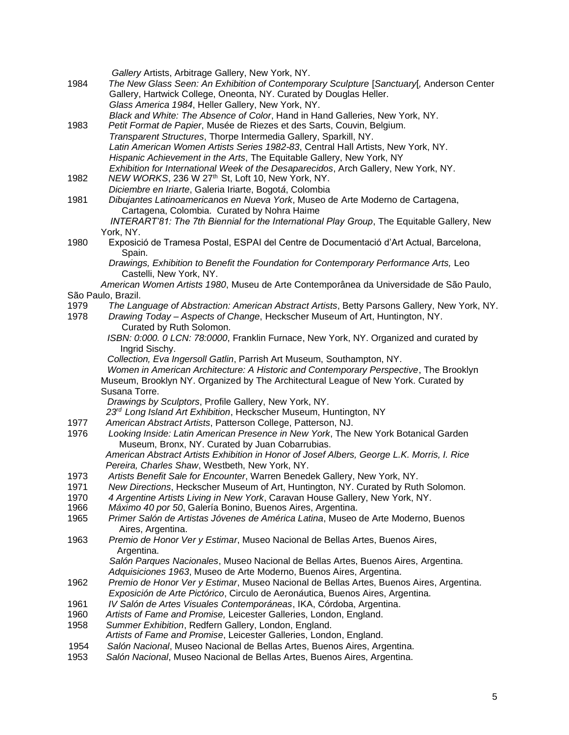|      | Gallery Artists, Arbitrage Gallery, New York, NY.                                            |
|------|----------------------------------------------------------------------------------------------|
| 1984 | The New Glass Seen: An Exhibition of Contemporary Sculpture [Sanctuary], Anderson Center     |
|      | Gallery, Hartwick College, Oneonta, NY. Curated by Douglas Heller.                           |
|      | Glass America 1984, Heller Gallery, New York, NY.                                            |
|      | Black and White: The Absence of Color, Hand in Hand Galleries, New York, NY.                 |
| 1983 | Petit Format de Papier, Musée de Riezes et des Sarts, Couvin, Belgium.                       |
|      | Transparent Structures, Thorpe Intermedia Gallery, Sparkill, NY.                             |
|      | Latin American Women Artists Series 1982-83, Central Hall Artists, New York, NY.             |
|      |                                                                                              |
|      | Hispanic Achievement in the Arts, The Equitable Gallery, New York, NY                        |
|      | Exhibition for International Week of the Desaparecidos, Arch Gallery, New York, NY.          |
| 1982 | NEW WORKS, 236 W 27th St, Loft 10, New York, NY.                                             |
|      | Diciembre en Iriarte, Galeria Iriarte, Bogotá, Colombia                                      |
| 1981 | Dibujantes Latinoamericanos en Nueva York, Museo de Arte Moderno de Cartagena,               |
|      | Cartagena, Colombia. Curated by Nohra Haime                                                  |
|      | INTERART'81: The 7th Biennial for the International Play Group, The Equitable Gallery, New   |
|      | York, NY.                                                                                    |
| 1980 | Exposició de Tramesa Postal, ESPAI del Centre de Documentació d'Art Actual, Barcelona,       |
|      | Spain.                                                                                       |
|      | Drawings, Exhibition to Benefit the Foundation for Contemporary Performance Arts, Leo        |
|      | Castelli, New York, NY.                                                                      |
|      |                                                                                              |
|      | American Women Artists 1980, Museu de Arte Contemporânea da Universidade de São Paulo,       |
|      | São Paulo, Brazil.                                                                           |
| 1979 | The Language of Abstraction: American Abstract Artists, Betty Parsons Gallery, New York, NY. |
| 1978 | Drawing Today - Aspects of Change, Heckscher Museum of Art, Huntington, NY.                  |
|      | Curated by Ruth Solomon.                                                                     |
|      | ISBN: 0:000. 0 LCN: 78:0000, Franklin Furnace, New York, NY. Organized and curated by        |
|      | Ingrid Sischy.                                                                               |
|      | Collection, Eva Ingersoll Gatlin, Parrish Art Museum, Southampton, NY.                       |
|      | Women in American Architecture: A Historic and Contemporary Perspective, The Brooklyn        |
|      | Museum, Brooklyn NY. Organized by The Architectural League of New York. Curated by           |
|      | Susana Torre.                                                                                |
|      | Drawings by Sculptors, Profile Gallery, New York, NY.                                        |
|      | 23rd Long Island Art Exhibition, Heckscher Museum, Huntington, NY                            |
| 1977 | American Abstract Artists, Patterson College, Patterson, NJ.                                 |
|      |                                                                                              |
| 1976 | Looking Inside: Latin American Presence in New York, The New York Botanical Garden           |
|      | Museum, Bronx, NY. Curated by Juan Cobarrubias.                                              |
|      | American Abstract Artists Exhibition in Honor of Josef Albers, George L.K. Morris, I. Rice   |
|      | Pereira, Charles Shaw, Westbeth, New York, NY.                                               |
| 1973 | Artists Benefit Sale for Encounter, Warren Benedek Gallery, New York, NY.                    |
| 1971 | New Directions, Heckscher Museum of Art, Huntington, NY. Curated by Ruth Solomon.            |
| 1970 | 4 Argentine Artists Living in New York, Caravan House Gallery, New York, NY.                 |
| 1966 | Máximo 40 por 50, Galería Bonino, Buenos Aires, Argentina.                                   |
| 1965 | Primer Salón de Artistas Jóvenes de América Latina, Museo de Arte Moderno, Buenos            |
|      | Aires, Argentina.                                                                            |
| 1963 | Premio de Honor Ver y Estimar, Museo Nacional de Bellas Artes, Buenos Aires,                 |
|      | Argentina.                                                                                   |
|      |                                                                                              |
|      | Salón Parques Nacionales, Museo Nacional de Bellas Artes, Buenos Aires, Argentina.           |
|      | Adquisiciones 1963, Museo de Arte Moderno, Buenos Aires, Argentina.                          |
| 1962 | Premio de Honor Ver y Estimar, Museo Nacional de Bellas Artes, Buenos Aires, Argentina.      |
|      | Exposición de Arte Pictórico, Circulo de Aeronáutica, Buenos Aires, Argentina.               |
| 1961 | IV Salón de Artes Visuales Contemporáneas, IKA, Córdoba, Argentina.                          |
| 1960 | Artists of Fame and Promise, Leicester Galleries, London, England.                           |
| 1958 | Summer Exhibition, Redfern Gallery, London, England.                                         |
|      | Artists of Fame and Promise, Leicester Galleries, London, England.                           |
| 1954 | Salón Nacional, Museo Nacional de Bellas Artes, Buenos Aires, Argentina.                     |
| 1953 | Salón Nacional, Museo Nacional de Bellas Artes, Buenos Aires, Argentina.                     |
|      |                                                                                              |
|      |                                                                                              |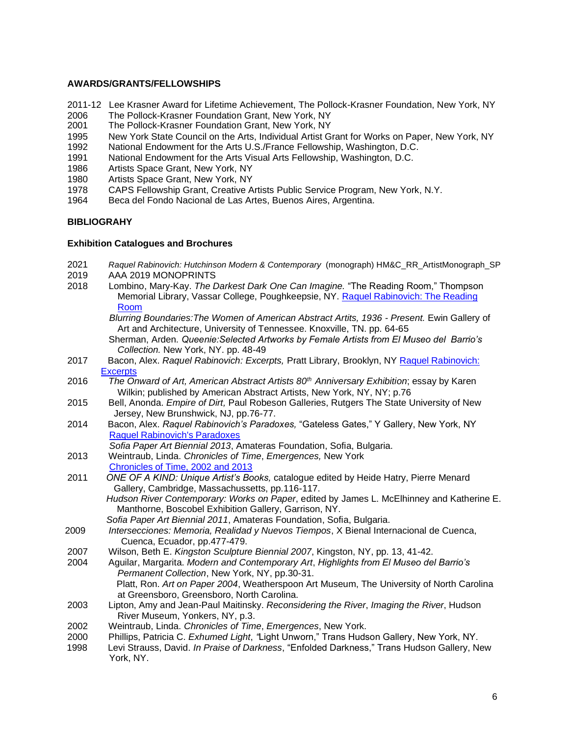### **AWARDS/GRANTS/FELLOWSHIPS**

- 2011-12 Lee Krasner Award for Lifetime Achievement, The Pollock-Krasner Foundation, New York, NY
- 2006 The Pollock-Krasner Foundation Grant, New York, NY<br>2001 The Pollock-Krasner Foundation Grant, New York, NY
- The Pollock-Krasner Foundation Grant, New York, NY
- 1995 New York State Council on the Arts, Individual Artist Grant for Works on Paper, New York, NY
- 1992 National Endowment for the Arts U.S./France Fellowship, Washington, D.C.
- 1991 National Endowment for the Arts Visual Arts Fellowship, Washington, D.C.
- 1986 Artists Space Grant, New York, NY
- 1980 Artists Space Grant, New York, NY
- 1978 CAPS Fellowship Grant, Creative Artists Public Service Program, New York, N.Y.
- 1964 Beca del Fondo Nacional de Las Artes, Buenos Aires, Argentina.

# **BIBLIOGRAHY**

#### **Exhibition Catalogues and Brochures**

- 2021 *Raquel Rabinovich: Hutchinson Modern & Contemporary* (monograph) HM&C\_RR\_ArtistMonograph\_SP
- 2019 AAA 2019 MONOPRINTS<br>2018 Lombino, Marv-Kav, The D
- 2018 Lombino, Mary-Kay. *The Darkest Dark One Can Imagine.* "The Reading Room," Thompson Memorial Library, Vassar College, Poughkeepsie, NY. Raquel Rabinovich: The Reading Room
	- *Blurring Boundaries:The Women of American Abstract Artits, 1936 - Present.* Ewin Gallery of Art and Architecture, University of Tennessee. Knoxville, TN. pp. 64-65
	- Sherman, Arden. *Queenie:Selected Artworks by Female Artists from El Museo del Barrio's Collection.* New York, NY. pp. 48-49
- 2017 Bacon, Alex. *Raquel Rabinovich: Excerpts,* Pratt Library, Brooklyn, NY Raquel Rabinovich: **Excerpts**
- 2016 *The Onward of Art, American Abstract Artists 80th Anniversary Exhibition*; essay by Karen Wilkin; published by American Abstract Artists, New York, NY, NY; p.76
- 2015 Bell, Anonda. *Empire of Dirt,* Paul Robeson Galleries, Rutgers The State University of New Jersey, New Brunshwick, NJ, pp.76-77.
- 2014 Bacon, Alex. *Raquel Rabinovich's Paradoxes,* "Gateless Gates," Y Gallery, New York, NY Raquel Rabinovich's Paradoxes
- *Sofia Paper Art Biennial 2013*, Amateras Foundation, Sofia, Bulgaria.
- 2013 Weintraub, Linda. *Chronicles of Time*, *Emergences,* New York Chronicles of Time, 2002 and 2013
- 2011 *ONE OF A KIND: Unique Artist's Books,* catalogue edited by Heide Hatry, Pierre Menard Gallery, Cambridge, Massachussetts, pp.116-117.
	- *Hudson River Contemporary: Works on Paper*, edited by James L. McElhinney and Katherine E. Manthorne, Boscobel Exhibition Gallery, Garrison, NY.
	- *Sofia Paper Art Biennial 2011*, Amateras Foundation, Sofia, Bulgaria.
- 2009 *Intersecciones: Memoria, Realidad y Nuevos Tiempos*, X Bienal Internacional de Cuenca, Cuenca, Ecuador, pp.477-479.
- 2007 Wilson, Beth E. *Kingston Sculpture Biennial 2007*, Kingston, NY, pp. 13, 41-42.
- 2004 Aguilar, Margarita. *Modern and Contemporary Art*, *Highlights from El Museo del Barrio's Permanent Collection*, New York, NY, pp.30-31. Platt, Ron. *Art on Paper 2004*, Weatherspoon Art Museum, The University of North Carolina at Greensboro, Greensboro, North Carolina.
- 2003 Lipton, Amy and Jean-Paul Maitinsky. *Reconsidering the River*, *Imaging the River*, Hudson River Museum, Yonkers, NY, p.3.
- 2002 Weintraub, Linda. *Chronicles of Time*, *Emergences*, New York.
- 2000 Phillips, Patricia C. *Exhumed Light*, *"*Light Unworn," Trans Hudson Gallery, New York, NY.
- 1998 Levi Strauss, David. *In Praise of Darkness*, "Enfolded Darkness," Trans Hudson Gallery, New York, NY.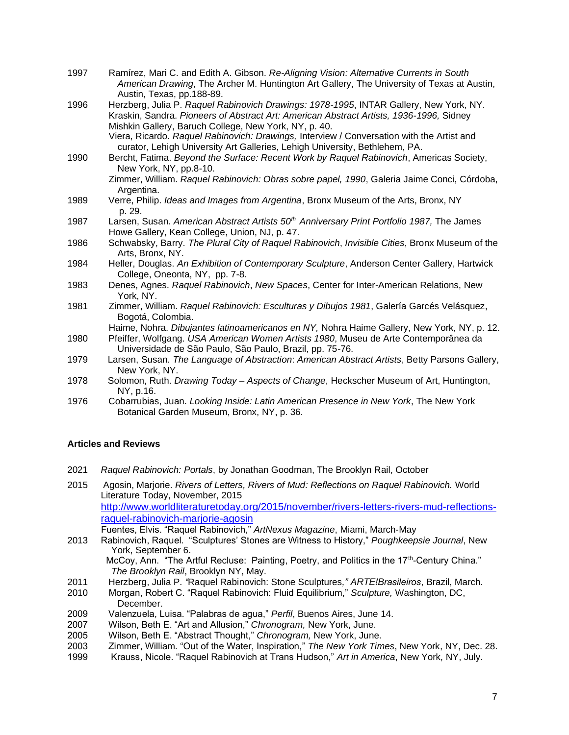- 1997 Ramírez, Mari C. and Edith A. Gibson. *Re-Aligning Vision: Alternative Currents in South American Drawing*, The Archer M. Huntington Art Gallery, The University of Texas at Austin, Austin, Texas, pp.188-89.
- 1996 Herzberg, Julia P. *Raquel Rabinovich Drawings: 1978-1995*, INTAR Gallery, New York, NY. Kraskin, Sandra. *Pioneers of Abstract Art: American Abstract Artists, 1936-1996,* Sidney Mishkin Gallery, Baruch College, New York, NY, p. 40.
	- Viera, Ricardo. *Raquel Rabinovich: Drawings,* Interview / Conversation with the Artist and curator, Lehigh University Art Galleries, Lehigh University, Bethlehem, PA.
- 1990 Bercht, Fatima. *Beyond the Surface: Recent Work by Raquel Rabinovich*, Americas Society, New York, NY, pp.8-10. Zimmer, William. *Raquel Rabinovich: Obras sobre papel, 1990*, Galeria Jaime Conci, Córdoba,
	- Argentina.
- 1989 Verre, Philip. *Ideas and Images from Argentina*, Bronx Museum of the Arts, Bronx, NY p. 29.
- 1987 Larsen, Susan. *American Abstract Artists 50th Anniversary Print Portfolio 1987,* The James Howe Gallery, Kean College, Union, NJ, p. 47.
- 1986 Schwabsky, Barry. *The Plural City of Raquel Rabinovich*, *Invisible Cities*, Bronx Museum of the Arts, Bronx, NY.
- 1984 Heller, Douglas. *An Exhibition of Contemporary Sculpture*, Anderson Center Gallery, Hartwick College, Oneonta, NY, pp. 7-8.
- 1983 Denes, Agnes. *Raquel Rabinovich*, *New Spaces*, Center for Inter-American Relations, New York, NY.
- 1981 Zimmer, William. *Raquel Rabinovich: Esculturas y Dibujos 1981*, Galería Garcés Velásquez, Bogotá, Colombia.

Haime, Nohra. *Dibujantes latinoamericanos en NY,* Nohra Haime Gallery, New York, NY, p. 12.

- 1980 Pfeiffer, Wolfgang. *USA American Women Artists 1980*, Museu de Arte Contemporânea da Universidade de São Paulo, São Paulo, Brazil, pp. 75-76.
- 1979 Larsen, Susan. *The Language of Abstraction*: *American Abstract Artists*, Betty Parsons Gallery, New York, NY.
- 1978 Solomon, Ruth. *Drawing Today – Aspects of Change*, Heckscher Museum of Art, Huntington, NY, p.16.
- 1976 Cobarrubias, Juan. *Looking Inside: Latin American Presence in New York*, The New York Botanical Garden Museum, Bronx, NY, p. 36.

# **Articles and Reviews**

- 2021 *Raquel Rabinovich: Portals*, by Jonathan Goodman, The Brooklyn Rail, October
- 2015 Agosin, Marjorie. *Rivers of Letters, Rivers of Mud: Reflections on Raquel Rabinovich.* World Literature Today, November, 2015 [http://www.worldliteraturetoday.org/2015/november/rivers-letters-rivers-mud-reflections](http://www.worldliteraturetoday.org/2015/november/rivers-letters-rivers-mud-reflections-)raquel-rabinovich-marjorie-agosin

Fuentes, Elvis. "Raquel Rabinovich," *ArtNexus Magazine*, Miami, March-May

2013 Rabinovich, Raquel. "Sculptures' Stones are Witness to History," *Poughkeepsie Journal*, New York, September 6.

McCoy, Ann. "The Artful Recluse: Painting, Poetry, and Politics in the 17th-Century China." *The Brooklyn Rail*, Brooklyn NY, May.

- 2011 Herzberg, Julia P*. "*Raquel Rabinovich: Stone Sculptures*," ARTE!Brasileiros*, Brazil, March.
- 2010 Morgan, Robert C. "Raquel Rabinovich: Fluid Equilibrium," *Sculpture,* Washington, DC, December.
- 2009 Valenzuela, Luisa. "Palabras de agua," *Perfil*, Buenos Aires, June 14.
- 2007 Wilson, Beth E. "Art and Allusion," *Chronogram,* New York, June.
- 2005 Wilson, Beth E. "Abstract Thought," *Chronogram,* New York, June.
- 2003 Zimmer, William. "Out of the Water, Inspiration," *The New York Times*, New York, NY, Dec. 28.
- 1999 Krauss, Nicole. "Raquel Rabinovich at Trans Hudson," *Art in America*, New York, NY, July.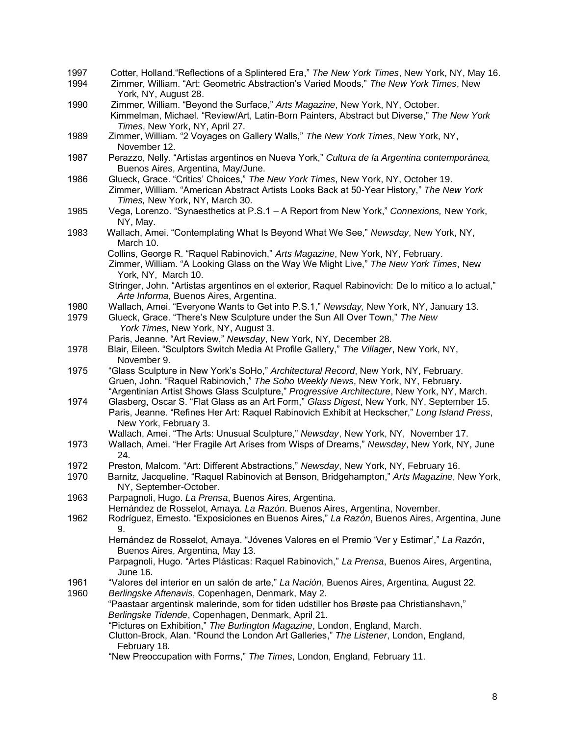- 1997 Cotter, Holland."Reflections of a Splintered Era," *The New York Times*, New York, NY, May 16.
- 1994 Zimmer, William. "Art: Geometric Abstraction's Varied Moods," *The New York Times*, New York, NY, August 28.
- 1990 Zimmer, William. "Beyond the Surface," *Arts Magazine*, New York, NY, October. Kimmelman, Michael. "Review/Art, Latin-Born Painters, Abstract but Diverse," *The New York Times*, New York, NY, April 27.
- 1989 Zimmer, William. "2 Voyages on Gallery Walls," *The New York Times*, New York, NY, November 12.
- 1987 Perazzo, Nelly. "Artistas argentinos en Nueva York," *Cultura de la Argentina contemporánea,* Buenos Aires, Argentina, May/June.
- 1986 Glueck, Grace. "Critics' Choices," *The New York Times*, New York, NY, October 19. Zimmer, William. "American Abstract Artists Looks Back at 50-Year History," *The New York Times,* New York, NY, March 30.
- 1985 Vega, Lorenzo. "Synaesthetics at P.S.1 A Report from New York," *Connexions,* New York, NY, May.
- 1983 Wallach, Amei. "Contemplating What Is Beyond What We See," *Newsday*, New York, NY, March 10.

Collins, George R. "Raquel Rabinovich," *Arts Magazine*, New York, NY, February.

- Zimmer, William. "A Looking Glass on the Way We Might Live," *The New York Times*, New York, NY, March 10.
- Stringer, John. "Artistas argentinos en el exterior, Raquel Rabinovich: De lo mítico a lo actual," *Arte Informa,* Buenos Aires, Argentina.
- 1980 Wallach, Amei. "Everyone Wants to Get into P.S.1," *Newsday,* New York, NY, January 13.
- 1979 Glueck, Grace. "There's New Sculpture under the Sun All Over Town," *The New York Times*, New York, NY, August 3.
	- Paris, Jeanne. "Art Review," *Newsday*, New York, NY, December 28.
- 1978 Blair, Eileen. "Sculptors Switch Media At Profile Gallery," *The Villager*, New York, NY, November 9.
- 1975 "Glass Sculpture in New York's SoHo," *Architectural Record*, New York, NY, February. Gruen, John. "Raquel Rabinovich," *The Soho Weekly News*, New York, NY, February. "Argentinian Artist Shows Glass Sculpture," *Progressive Architecture*, New York, NY, March.
- 1974 Glasberg, Oscar S. "Flat Glass as an Art Form," *Glass Digest*, New York, NY, September 15. Paris, Jeanne. "Refines Her Art: Raquel Rabinovich Exhibit at Heckscher," *Long Island Press*, New York, February 3.
	- Wallach, Amei. "The Arts: Unusual Sculpture," *Newsday*, New York, NY, November 17.
- 1973 Wallach, Amei. "Her Fragile Art Arises from Wisps of Dreams," *Newsday*, New York, NY, June 24.
- 1972 Preston, Malcom. "Art: Different Abstractions," *Newsday*, New York, NY, February 16.
- 1970 Barnitz, Jacqueline. "Raquel Rabinovich at Benson, Bridgehampton," *Arts Magazine*, New York, NY, September-October.
- 1963 Parpagnoli, Hugo. *La Prensa*, Buenos Aires, Argentina.
- Hernández de Rosselot, Amaya. *La Razón*. Buenos Aires, Argentina, November.
- 1962 Rodríguez, Ernesto. "Exposiciones en Buenos Aires," *La Razón*, Buenos Aires, Argentina, June 9.
	- Hernández de Rosselot, Amaya. "Jóvenes Valores en el Premio 'Ver y Estimar'," *La Razón*, Buenos Aires, Argentina, May 13.
	- Parpagnoli, Hugo. "Artes Plásticas: Raquel Rabinovich," *La Prensa*, Buenos Aires, Argentina, June 16.
- 1961 "Valores del interior en un salón de arte," *La Nación*, Buenos Aires, Argentina, August 22.
- 1960 *Berlingske Aftenavis*, Copenhagen, Denmark, May 2.

"Paastaar argentinsk malerinde, som for tiden udstiller hos Brøste paa Christianshavn," *Berlingske Tidende*, Copenhagen, Denmark, April 21.

- "Pictures on Exhibition," *The Burlington Magazine*, London, England, March.
	- Clutton-Brock, Alan. "Round the London Art Galleries," *The Listener*, London, England, February 18.
	- "New Preoccupation with Forms," *The Times*, London, England, February 11.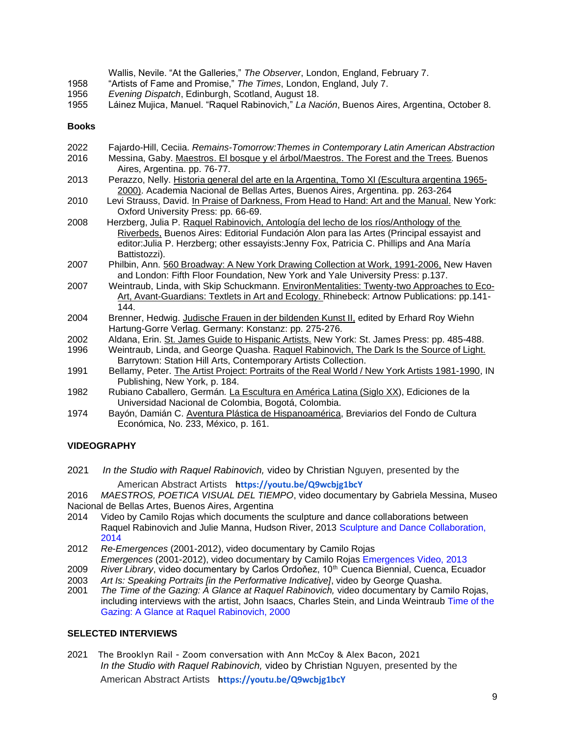|      | Wallis, Nevile. "At the Galleries," The Observer, London, England, February 7.             |
|------|--------------------------------------------------------------------------------------------|
| 1958 | "Artists of Fame and Promise," The Times, London, England, July 7.                         |
| 1956 | Evening Dispatch, Edinburgh, Scotland, August 18.                                          |
| 1955 | Láinez Mujica, Manuel. "Raquel Rabinovich," La Nación, Buenos Aires, Argentina, October 8. |

#### **Books**

| 2022 | Fajardo-Hill, Ceciia. Remains-Tomorrow: Themes in Contemporary Latin American Abstraction        |
|------|--------------------------------------------------------------------------------------------------|
| 2016 | Messina, Gaby. Maestros. El bosque y el árbol/Maestros. The Forest and the Trees. Buenos         |
|      | Aires, Argentina. pp. 76-77.                                                                     |
| 2013 | Perazzo, Nelly. Historia general del arte en la Argentina, Tomo XI (Escultura argentina 1965-    |
|      | 2000). Academia Nacional de Bellas Artes, Buenos Aires, Argentina. pp. 263-264                   |
| 2010 | Levi Strauss, David. In Praise of Darkness, From Head to Hand: Art and the Manual. New York:     |
|      | Oxford University Press: pp. 66-69.                                                              |
| 2008 | Herzberg, Julia P. Raquel Rabinovich, Antología del lecho de los ríos/Anthology of the           |
|      | Riverbeds, Buenos Aires: Editorial Fundación Alon para las Artes (Principal essayist and         |
|      | editor: Julia P. Herzberg; other essayists: Jenny Fox, Patricia C. Phillips and Ana María        |
|      | Battistozzi).                                                                                    |
| 2007 | Philbin, Ann. 560 Broadway: A New York Drawing Collection at Work, 1991-2006, New Haven          |
|      | and London: Fifth Floor Foundation, New York and Yale University Press: p.137.                   |
| 2007 | Weintraub, Linda, with Skip Schuckmann. EnvironMentalities: Twenty-two Approaches to Eco-        |
|      | Art, Avant-Guardians: Textlets in Art and Ecology. Rhinebeck: Artnow Publications: pp.141-       |
|      | 144.                                                                                             |
| 2004 | Brenner, Hedwig. Judische Frauen in der bildenden Kunst II, edited by Erhard Roy Wiehn           |
|      | Hartung-Gorre Verlag. Germany: Konstanz: pp. 275-276.                                            |
| 2002 | Aldana, Erin. St. James Guide to Hispanic Artists. New York: St. James Press: pp. 485-488.       |
| 1996 | Weintraub, Linda, and George Quasha. Raquel Rabinovich, The Dark Is the Source of Light.         |
|      | Barrytown: Station Hill Arts, Contemporary Artists Collection.                                   |
| 1991 | Bellamy, Peter. The Artist Project: Portraits of the Real World / New York Artists 1981-1990, IN |
|      | Publishing, New York, p. 184.                                                                    |
| 1982 | Rubiano Caballero, Germán. La Escultura en América Latina (Siglo XX), Ediciones de la            |
|      | Universidad Nacional de Colombia, Bogotá, Colombia.                                              |
| 1974 | Bayón, Damián C. Aventura Plástica de Hispanoamérica. Breviarios del Fondo de Cultura.           |

1974 — Bayon, Damian C. <u>Aventura Plastica de Hispanoamerica,</u> Breviarios del Fondo de Cultura Económica, No. 233, México, p. 161.

# **VIDEOGRAPHY**

- 2021 *In the Studio with Raquel Rabinovich,* video by Christian Nguyen, presented by the American Abstract Artists **<https://youtu.be/Q9wcbjg1bcY>**
- 2016 *MAESTROS, POETICA VISUAL DEL TIEMPO*, video documentary by Gabriela Messina, Museo Nacional de Bellas Artes, Buenos Aires, Argentina
- 2014 Video by Camilo Rojas which documents the sculpture and dance collaborations between Raquel Rabinovich and Julie Manna, Hudson River, 2013 Sculpture and Dance Collaboration, 2014
- 2012 *Re*-*Emergences* (2001-2012), video documentary by Camilo Rojas
- *Emergences* (2001-2012), video documentary by Camilo Rojas Emergences Video, 2013
- 2009 *River Library*, video documentary by Carlos Ordoňez, 10<sup>th</sup> Cuenca Biennial, Cuenca, Ecuador
- 2003 *Art Is: Speaking Portraits [in the Performative Indicative]*, video by George Quasha.
- 2001 *The Time of the Gazing: A Glance at Raquel Rabinovich,* video documentary by Camilo Rojas, including interviews with the artist, John Isaacs, Charles Stein, and Linda Weintraub Time of the Gazing: A Glance at Raquel Rabinovich, 2000

# **SELECTED INTERVIEWS**

2021 The Brooklyn Rail - Zoom conversation with Ann McCoy & Alex Bacon, 2021 *In the Studio with Raquel Rabinovich,* video by Christian Nguyen, presented by the American Abstract Artists **<https://youtu.be/Q9wcbjg1bcY>**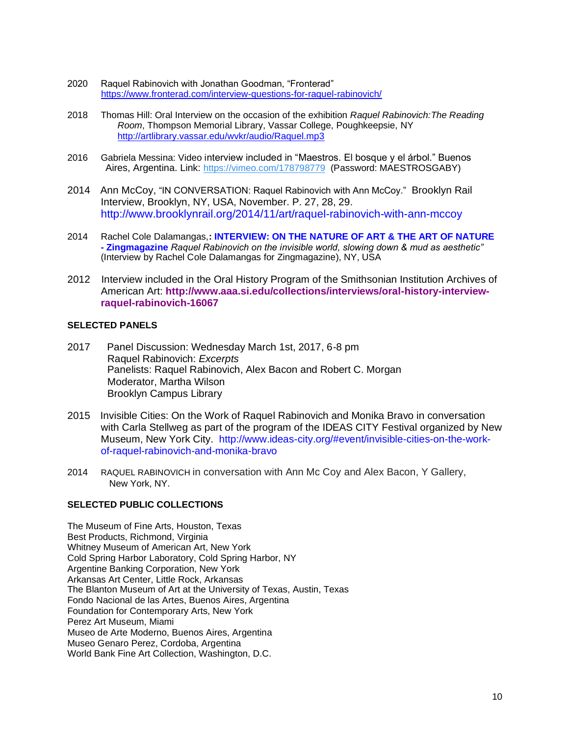- 2020 Raquel Rabinovich with Jonathan Goodman, "Fronterad" https:[//www.fronterad.com/interview-questions-for-raquel-rabinovich/](http://www.fronterad.com/interview-questions-for-raquel-rabinovich/)
- 2018 Thomas Hill: Oral Interview on the occasion of the exhibition *Raquel Rabinovich:The Reading Room*, Thompson Memorial Library, Vassar College, Poughkeepsie, NY <http://artlibrary.vassar.edu/wvkr/audio/Raquel.mp3>
- 2016 Gabriela Messina: Video interview included in "Maestros. El bosque y el árbol." Buenos Aires, Argentina. Link: https://vimeo.com/178798779 (Password: MAESTROSGABY)
- 2014 Ann McCoy, "IN CONVERSATION: Raquel Rabinovich with Ann McCoy." Brooklyn Rail Interview, Brooklyn, NY, USA, November. P. 27, 28, 29. http://www.brooklynrail.org/2014/11/art/raquel-rabinovich-with-ann-mccoy
- 2014 Rachel Cole Dalamangas,**: INTERVIEW: ON THE NATURE OF ART & THE ART OF NATURE - Zingmagazine** *Raquel Rabinovich on the invisible world, slowing down & mud as aesthetic"* (Interview by Rachel Cole Dalamangas for Zingmagazine), NY, USA
- 2012 Interview included in the Oral History Program of the Smithsonian Institution Archives of American Art: **http://www.aaa.si.edu/collections/interviews/oral-history-interviewraquel-rabinovich-16067**

#### **SELECTED PANELS**

- 2017 Panel Discussion: Wednesday March 1st, 2017, 6-8 pm Raquel Rabinovich: *Excerpts* Panelists: Raquel Rabinovich, Alex Bacon and Robert C. Morgan Moderator, Martha Wilson Brooklyn Campus Library
- 2015 Invisible Cities: On the Work of Raquel Rabinovich and Monika Bravo in conversation with Carla Stellweg as part of the program of the IDEAS CITY Festival organized by New Museum, New York City. http://www.ideas-city.org/#event/invisible-cities-on-the-workof-raquel-rabinovich-and-monika-bravo
- 2014 RAQUEL RABINOVICH in conversation with Ann Mc Coy and Alex Bacon, Y Gallery, New York, NY.

# **SELECTED PUBLIC COLLECTIONS**

The Museum of Fine Arts, Houston, Texas Best Products, Richmond, Virginia Whitney Museum of American Art, New York Cold Spring Harbor Laboratory, Cold Spring Harbor, NY Argentine Banking Corporation, New York Arkansas Art Center, Little Rock, Arkansas The Blanton Museum of Art at the University of Texas, Austin, Texas Fondo Nacional de las Artes, Buenos Aires, Argentina Foundation for Contemporary Arts, New York Perez Art Museum, Miami Museo de Arte Moderno, Buenos Aires, Argentina Museo Genaro Perez, Cordoba, Argentina World Bank Fine Art Collection, Washington, D.C.